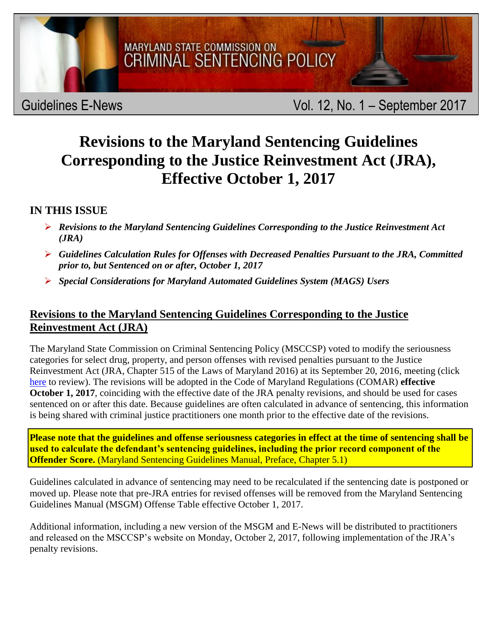

## Guidelines E-News **Vol. 12, No. 1** – September 2017

# **Revisions to the Maryland Sentencing Guidelines Corresponding to the Justice Reinvestment Act (JRA), Effective October 1, 2017**

## **IN THIS ISSUE**

- *Revisions to the Maryland Sentencing Guidelines Corresponding to the Justice Reinvestment Act (JRA)*
- *Guidelines Calculation Rules for Offenses with Decreased Penalties Pursuant to the JRA, Committed prior to, but Sentenced on or after, October 1, 2017*
- *Special Considerations for Maryland Automated Guidelines System (MAGS) Users*

## **Revisions to the Maryland Sentencing Guidelines Corresponding to the Justice Reinvestment Act (JRA)**

The Maryland State Commission on Criminal Sentencing Policy (MSCCSP) voted to modify the seriousness categories for select drug, property, and person offenses with revised penalties pursuant to the Justice Reinvestment Act (JRA, Chapter 515 of the Laws of Maryland 2016) at its September 20, 2016, meeting (click [here](http://msccsp.org/Files/News/JRA_PenaltyRevisions_Corresponding_Proposed_Guidelines_Revisions.pdf) to review). The revisions will be adopted in the Code of Maryland Regulations (COMAR) **effective October 1, 2017**, coinciding with the effective date of the JRA penalty revisions, and should be used for cases sentenced on or after this date. Because guidelines are often calculated in advance of sentencing, this information is being shared with criminal justice practitioners one month prior to the effective date of the revisions.

**Please note that the guidelines and offense seriousness categories in effect at the time of sentencing shall be used to calculate the defendant's sentencing guidelines, including the prior record component of the Offender Score.** (Maryland Sentencing Guidelines Manual, Preface, Chapter 5.1)

Guidelines calculated in advance of sentencing may need to be recalculated if the sentencing date is postponed or moved up. Please note that pre-JRA entries for revised offenses will be removed from the Maryland Sentencing Guidelines Manual (MSGM) Offense Table effective October 1, 2017.

Additional information, including a new version of the MSGM and E-News will be distributed to practitioners and released on the MSCCSP's website on Monday, October 2, 2017, following implementation of the JRA's penalty revisions.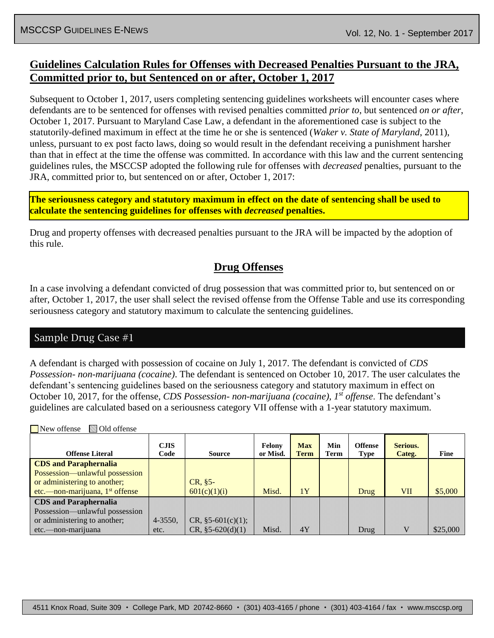### **Guidelines Calculation Rules for Offenses with Decreased Penalties Pursuant to the JRA, Committed prior to, but Sentenced on or after, October 1, 2017**

Subsequent to October 1, 2017, users completing sentencing guidelines worksheets will encounter cases where defendants are to be sentenced for offenses with revised penalties committed *prior to*, but sentenced *on or after*, October 1, 2017. Pursuant to Maryland Case Law, a defendant in the aforementioned case is subject to the statutorily-defined maximum in effect at the time he or she is sentenced (*Waker v. State of Maryland*, 2011), unless, pursuant to ex post facto laws, doing so would result in the defendant receiving a punishment harsher than that in effect at the time the offense was committed. In accordance with this law and the current sentencing guidelines rules, the MSCCSP adopted the following rule for offenses with *decreased* penalties, pursuant to the JRA, committed prior to, but sentenced on or after, October 1, 2017:

**The seriousness category and statutory maximum in effect on the date of sentencing shall be used to calculate the sentencing guidelines for offenses with** *decreased* **penalties.** 

Drug and property offenses with decreased penalties pursuant to the JRA will be impacted by the adoption of this rule.

#### **Drug Offenses**

In a case involving a defendant convicted of drug possession that was committed prior to, but sentenced on or after, October 1, 2017, the user shall select the revised offense from the Offense Table and use its corresponding seriousness category and statutory maximum to calculate the sentencing guidelines.

#### Sample Drug Case #1

A defendant is charged with possession of cocaine on July 1, 2017. The defendant is convicted of *CDS Possession- non-marijuana (cocaine)*. The defendant is sentenced on October 10, 2017. The user calculates the defendant's sentencing guidelines based on the seriousness category and statutory maximum in effect on October 10, 2017, for the offense, *CDS Possession- non-marijuana (cocaine), 1 st offense*. The defendant's guidelines are calculated based on a seriousness category VII offense with a 1-year statutory maximum.

| New offense<br>Old offense                                     |                     |                     |                    |                           |                    |                        |                    |          |
|----------------------------------------------------------------|---------------------|---------------------|--------------------|---------------------------|--------------------|------------------------|--------------------|----------|
| <b>Offense Literal</b>                                         | <b>CJIS</b><br>Code | Source              | Felony<br>or Misd. | <b>Max</b><br><b>Term</b> | Min<br><b>Term</b> | <b>Offense</b><br>Type | Serious.<br>Categ. | Fine     |
| <b>CDS</b> and Paraphernalia                                   |                     |                     |                    |                           |                    |                        |                    |          |
| Possession—unlawful possession<br>or administering to another; |                     | $CR, §5-$           |                    |                           |                    |                        |                    |          |
| etc.—non-marijuana, 1 <sup>st</sup> offense                    |                     | 601(c)(1)(i)        | Misd.              | 1Y                        |                    | Drug                   | <b>VII</b>         | \$5,000  |
| <b>CDS</b> and Paraphernalia                                   |                     |                     |                    |                           |                    |                        |                    |          |
| Possession—unlawful possession                                 |                     |                     |                    |                           |                    |                        |                    |          |
| or administering to another;                                   | $4 - 3550.$         | $CR, §5-601(c)(1);$ |                    |                           |                    |                        |                    |          |
| etc.—non-marijuana                                             | etc.                | $CR, §5-620(d)(1)$  | Misd.              | 4Y                        |                    | Drug                   |                    | \$25,000 |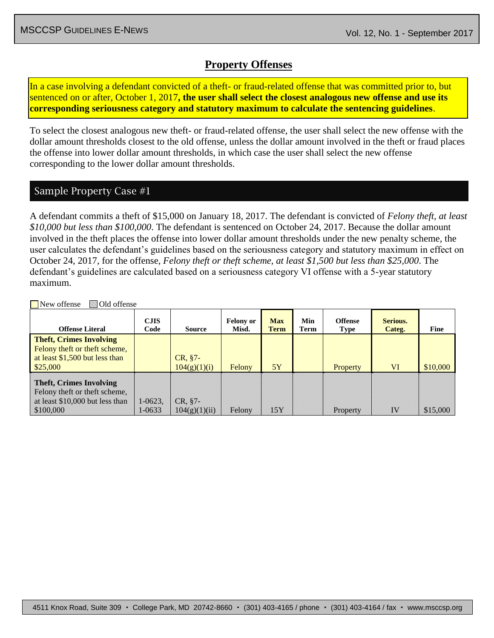#### **Property Offenses**

In a case involving a defendant convicted of a theft- or fraud-related offense that was committed prior to, but sentenced on or after, October 1, 2017**, the user shall select the closest analogous new offense and use its corresponding seriousness category and statutory maximum to calculate the sentencing guidelines**.

To select the closest analogous new theft- or fraud-related offense, the user shall select the new offense with the dollar amount thresholds closest to the old offense, unless the dollar amount involved in the theft or fraud places the offense into lower dollar amount thresholds, in which case the user shall select the new offense corresponding to the lower dollar amount thresholds.

#### Sample Property Case #1

A defendant commits a theft of \$15,000 on January 18, 2017. The defendant is convicted of *Felony theft, at least \$10,000 but less than \$100,000*. The defendant is sentenced on October 24, 2017. Because the dollar amount involved in the theft places the offense into lower dollar amount thresholds under the new penalty scheme, the user calculates the defendant's guidelines based on the seriousness category and statutory maximum in effect on October 24, 2017, for the offense, *Felony theft or theft scheme, at least \$1,500 but less than \$25,000*. The defendant's guidelines are calculated based on a seriousness category VI offense with a 5-year statutory maximum.

| $-10.40$ $-0.11$                                                                                                |                       |                          |                           |                    |             |                               |                    |          |
|-----------------------------------------------------------------------------------------------------------------|-----------------------|--------------------------|---------------------------|--------------------|-------------|-------------------------------|--------------------|----------|
| <b>Offense Literal</b>                                                                                          | <b>CJIS</b><br>Code   | Source                   | <b>Felony or</b><br>Misd. | <b>Max</b><br>Term | Min<br>Term | <b>Offense</b><br><b>Type</b> | Serious.<br>Categ. | Fine     |
| <b>Theft, Crimes Involving</b><br>Felony theft or theft scheme,<br>at least \$1,500 but less than<br>\$25,000   |                       | CR, §7-<br>104(g)(1)(i)  | Felony                    | 5Y                 |             | <b>Property</b>               | VI                 | \$10,000 |
| <b>Theft, Crimes Involving</b><br>Felony theft or theft scheme,<br>at least \$10,000 but less than<br>\$100,000 | $1 - 0623.$<br>1-0633 | CR, §7-<br>104(g)(1)(ii) | Felony                    | 15Y                |             | Property                      | IV                 | \$15,000 |

New offense Old offense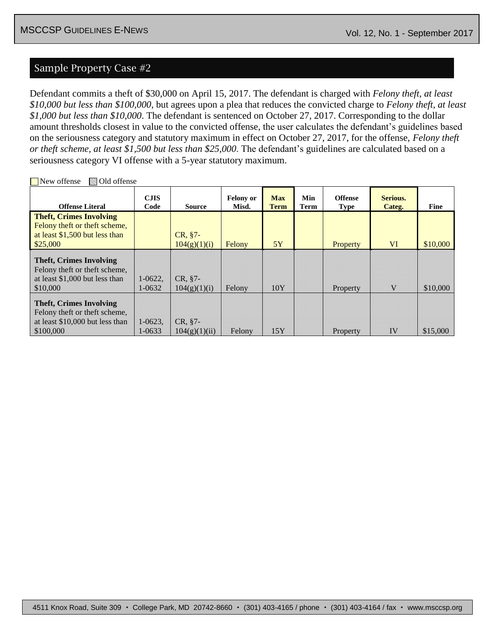#### Sample Property Case #2

Defendant commits a theft of \$30,000 on April 15, 2017. The defendant is charged with *Felony theft, at least \$10,000 but less than \$100,000*, but agrees upon a plea that reduces the convicted charge to *Felony theft, at least \$1,000 but less than \$10,000*. The defendant is sentenced on October 27, 2017. Corresponding to the dollar amount thresholds closest in value to the convicted offense, the user calculates the defendant's guidelines based on the seriousness category and statutory maximum in effect on October 27, 2017, for the offense, *Felony theft or theft scheme, at least \$1,500 but less than \$25,000*. The defendant's guidelines are calculated based on a seriousness category VI offense with a 5-year statutory maximum.

| <b>Offense Literal</b>                                                                                          | <b>CJIS</b><br>Code    | <b>Source</b>              | <b>Felony or</b><br>Misd. | <b>Max</b><br><b>Term</b> | Min<br>Term | <b>Offense</b><br><b>Type</b> | Serious.<br>Categ. | <b>Fine</b> |
|-----------------------------------------------------------------------------------------------------------------|------------------------|----------------------------|---------------------------|---------------------------|-------------|-------------------------------|--------------------|-------------|
| <b>Theft, Crimes Involving</b><br>Felony theft or theft scheme,<br>at least \$1,500 but less than<br>\$25,000   |                        | $CR, §7-$<br>104(g)(1)(i)  | Felony                    | 5Y                        |             | Property                      | <b>VI</b>          | \$10,000    |
| <b>Theft, Crimes Involving</b><br>Felony theft or theft scheme,<br>at least \$1,000 but less than<br>\$10,000   | $1-0622$ .<br>1-0632   | $CR. §7-$<br>104(g)(1)(i)  | Felony                    | 10Y                       |             | Property                      | V                  | \$10,000    |
| <b>Theft, Crimes Involving</b><br>Felony theft or theft scheme,<br>at least \$10,000 but less than<br>\$100,000 | $1 - 0623$ .<br>1-0633 | $CR. §7-$<br>104(g)(1)(ii) | Felony                    | 15Y                       |             | Property                      | IV                 | \$15,000    |

New offense **Old offense**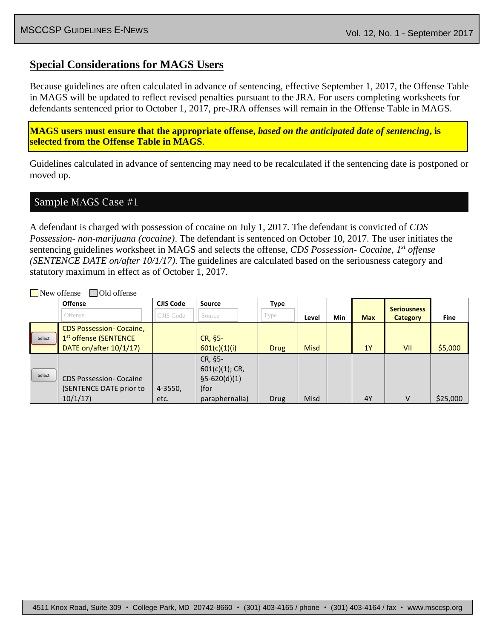#### **Special Considerations for MAGS Users**

Because guidelines are often calculated in advance of sentencing, effective September 1, 2017, the Offense Table in MAGS will be updated to reflect revised penalties pursuant to the JRA. For users completing worksheets for defendants sentenced prior to October 1, 2017, pre-JRA offenses will remain in the Offense Table in MAGS.

**MAGS users must ensure that the appropriate offense,** *based on the anticipated date of sentencing***, is selected from the Offense Table in MAGS**.

Guidelines calculated in advance of sentencing may need to be recalculated if the sentencing date is postponed or moved up.

Sample MAGS Case #1

 $\Box$ New offense  $\Box$  Old offense

A defendant is charged with possession of cocaine on July 1, 2017. The defendant is convicted of *CDS Possession- non-marijuana (cocaine)*. The defendant is sentenced on October 10, 2017. The user initiates the sentencing guidelines worksheet in MAGS and selects the offense, *CDS Possession- Cocaine, 1st offense (SENTENCE DATE on/after 10/1/17)*. The guidelines are calculated based on the seriousness category and statutory maximum in effect as of October 1, 2017.

|        | <b>Offense</b>                                                                                 | <b>CJIS Code</b>     | <b>Source</b>                                                            | <b>Type</b> |             |     |            | <b>Seriousness</b> |             |
|--------|------------------------------------------------------------------------------------------------|----------------------|--------------------------------------------------------------------------|-------------|-------------|-----|------------|--------------------|-------------|
|        | Offense                                                                                        | CJIS Code            | Source                                                                   | Type        | Level       | Min | <b>Max</b> | <b>Category</b>    | <b>Fine</b> |
| Select | <b>CDS Possession- Cocaine,</b><br>1 <sup>st</sup> offense (SENTENCE<br>DATE on/after 10/1/17) |                      | CR, §5-<br>601(c)(1)(i)                                                  | <b>Drug</b> | <b>Misd</b> |     | 1Y         | VII                | \$5,000     |
| Select | <b>CDS Possession- Cocaine</b><br>(SENTENCE DATE prior to<br>10/1/17                           | $4 - 3550$ ,<br>etc. | CR, §5-<br>$601(c)(1)$ ; CR,<br>$$5-620(d)(1)$<br>(for<br>paraphernalia) | <b>Drug</b> | Misd        |     | 4Y         | V                  | \$25,000    |